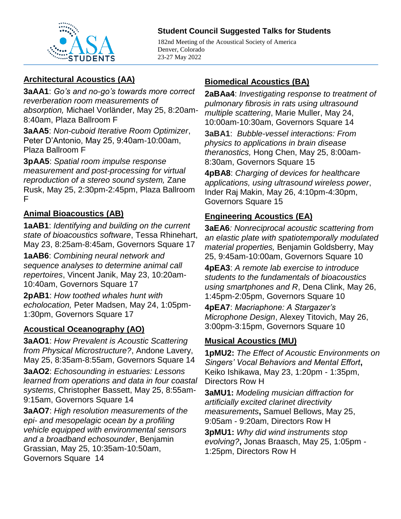

#### **Student Council Suggested Talks for Students**

182nd Meeting of the Acoustical Society of America Denver, Colorado 23-27 May 2022

### **Architectural Acoustics (AA)**

**3aAA1**: *Go's and no-go's towards more correct reverberation room measurements of absorption,* Michael Vorländer, May 25, 8:20am-8:40am, Plaza Ballroom F

**3aAA5**: *Non-cuboid Iterative Room Optimizer*, Peter D'Antonio, May 25, 9:40am-10:00am, Plaza Ballroom F

**3pAA5**: *Spatial room impulse response measurement and post-processing for virtual reproduction of a stereo sound system,* Zane Rusk, May 25, 2:30pm-2:45pm, Plaza Ballroom F

## **Animal Bioacoustics (AB)**

**1aAB1**: *Identifying and building on the current state of bioacoustics software*, Tessa Rhinehart, May 23, 8:25am-8:45am, Governors Square 17

**1aAB6**: *Combining neural network and sequence analyses to determine animal call repertoires*, Vincent Janik, May 23, 10:20am-10:40am, Governors Square 17

**2pAB1**: *How toothed whales hunt with echolocation,* Peter Madsen, May 24, 1:05pm-1:30pm, Governors Square 17

#### **Acoustical Oceanography (AO)**

**3aAO1**: *How Prevalent is Acoustic Scattering from Physical Microstructure?*, Andone Lavery, May 25, 8:35am-8:55am, Governors Square 14

**3aAO2**: *Echosounding in estuaries: Lessons learned from operations and data in four coastal systems*, Christopher Bassett, May 25, 8:55am-9:15am, Governors Square 14

**3aAO7**: *High resolution measurements of the epi- and mesopelagic ocean by a profiling vehicle equipped with environmental sensors and a broadband echosounder*, Benjamin Grassian, May 25, 10:35am-10:50am, Governors Square 14

### **Biomedical Acoustics (BA)**

**2aBAa4**: *Investigating response to treatment of pulmonary fibrosis in rats using ultrasound multiple scattering*, Marie Muller, May 24, 10:00am-10:30am, Governors Square 14

**3aBA1**: *Bubble-vessel interactions: From physics to applications in brain disease theranostics,* Hong Chen, May 25, 8:00am-8:30am, Governors Square 15

**4pBA8**: *Charging of devices for healthcare applications, using ultrasound wireless power*, Inder Raj Makin, May 26, 4:10pm-4:30pm, Governors Square 15

## **Engineering Acoustics (EA)**

**3aEA6***: Nonreciprocal acoustic scattering from an elastic plate with spatiotemporally modulated material properties,* Benjamin Goldsberry, May 25, 9:45am-10:00am, Governors Square 10

**4pEA3**: *A remote lab exercise to introduce students to the fundamentals of bioacoustics using smartphones and R*, Dena Clink, May 26, 1:45pm-2:05pm, Governors Square 10

**4pEA7**: *Macriaphone: A Stargazer's Microphone Design*, Alexey Titovich, May 26, 3:00pm-3:15pm, Governors Square 10

#### **Musical Acoustics (MU)**

**1pMU2:** *The Effect of Acoustic Environments on Singers' Vocal Behaviors and Mental Effort***,**  Keiko Ishikawa, May 23, 1:20pm - 1:35pm, Directors Row H

**3aMU1:** *Modeling musician diffraction for artificially excited clarinet directivity measurements***,** Samuel Bellows, May 25, 9:05am - 9:20am, Directors Row H

**3pMU1:** *Why did wind instruments stop evolving?***,** Jonas Braasch, May 25, 1:05pm - 1:25pm, Directors Row H